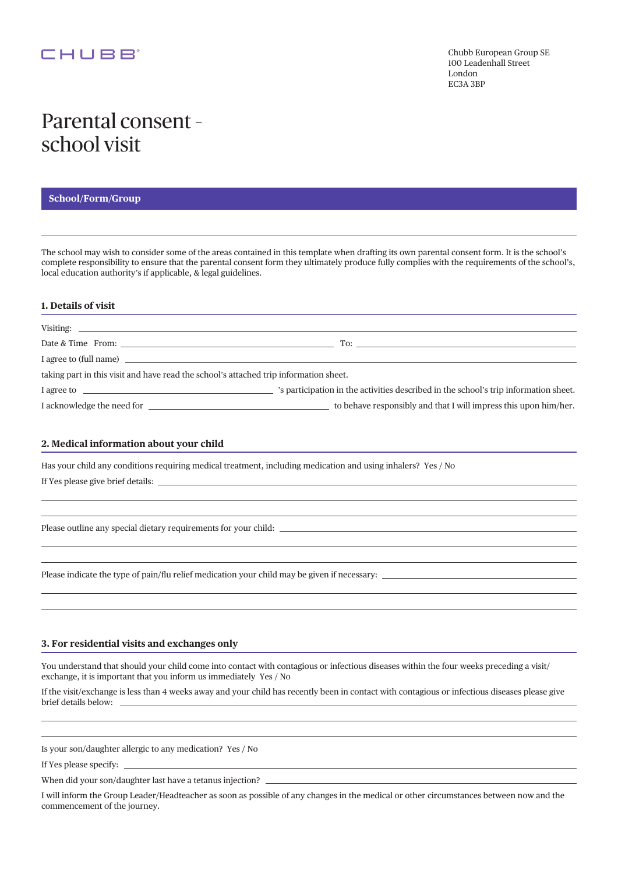### CHUBB<sup>®</sup>

# Parental consent – school visit

#### **School/Form/Group**

The school may wish to consider some of the areas contained in this template when drafting its own parental consent form. It is the school's complete responsibility to ensure that the parental consent form they ultimately produce fully complies with the requirements of the school's, local education authority's if applicable, & legal guidelines.

#### **1. Details of visit**

| taking part in this visit and have read the school's attached trip information sheet. |                                                                                                |
|---------------------------------------------------------------------------------------|------------------------------------------------------------------------------------------------|
|                                                                                       | I agree to <b>If the school's trip information sheet.</b> The school's trip information sheet. |
|                                                                                       | to behave responsibly and that I will impress this upon him/her.                               |

#### **2. Medical information about your child**

Has your child any conditions requiring medical treatment, including medication and using inhalers? Yes / No If Yes please give brief details:

Please outline any special dietary requirements for your child:

Please indicate the type of pain/flu relief medication your child may be given if necessary:  $\equiv$ 

#### **3. For residential visits and exchanges only**

You understand that should your child come into contact with contagious or infectious diseases within the four weeks preceding a visit/ exchange, it is important that you inform us immediately Yes / No

If the visit/exchange is less than 4 weeks away and your child has recently been in contact with contagious or infectious diseases please give brief details below:

Is your son/daughter allergic to any medication? Yes / No

If Yes please specify:

When did your son/daughter last have a tetanus injection?

I will inform the Group Leader/Headteacher as soon as possible of any changes in the medical or other circumstances between now and the commencement of the journey.